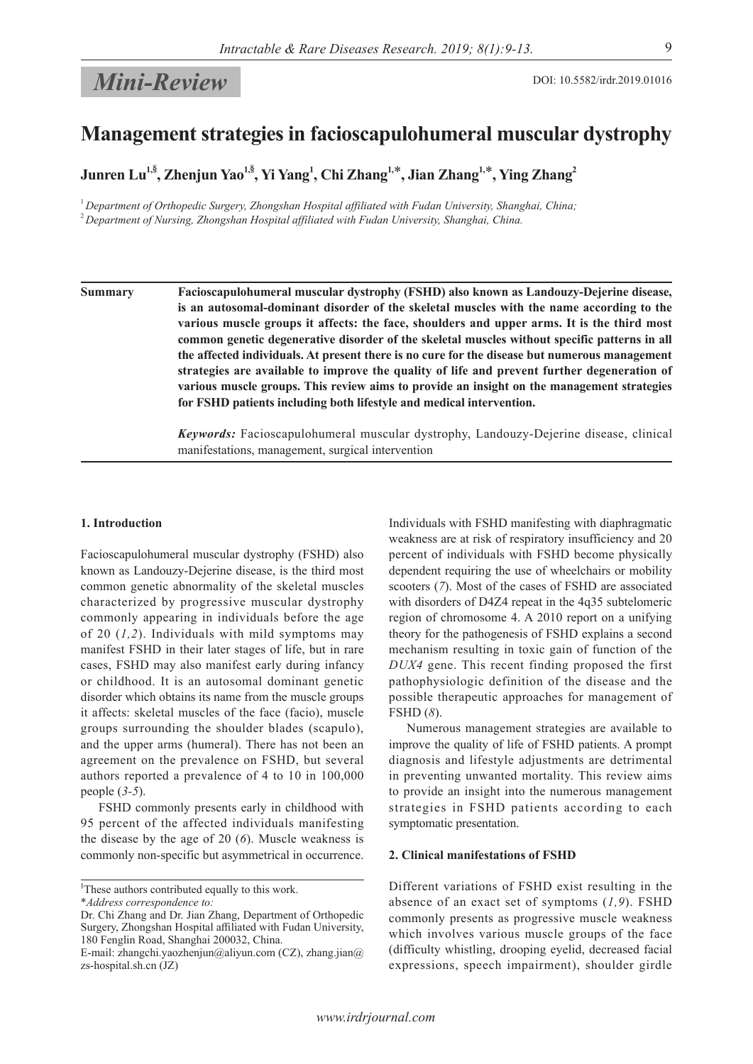# *Mini-Review* DOI: 10.5582/irdr.2019.01016

# **Management strategies in facioscapulohumeral muscular dystrophy**

 $\bm{\mathrm{Junren}}$   $\bm{\mathrm{Lu}}^{1,\$}$ ,  $\bm{\mathrm{Zhenjun}}$   $\bm{\mathrm{Yao}}^{1,\$}$ ,  $\bm{\mathrm{Yi\ Yang}}^{1},$   $\bm{\mathrm{Chin}}$   $\bm{\mathrm{Zhang}}^{1,\$}$ ,  $\bm{\mathrm{Jian}}$   $\bm{\mathrm{Zhang}}^{2},$ 

<sup>1</sup>*Department of Orthopedic Surgery, Zhongshan Hospital affiliated with Fudan University, Shanghai, China;* <sup>2</sup>*Department of Nursing, Zhongshan Hospital affiliated with Fudan University, Shanghai, China.*

**Summary Facioscapulohumeral muscular dystrophy (FSHD) also known as Landouzy-Dejerine disease, is an autosomal-dominant disorder of the skeletal muscles with the name according to the various muscle groups it affects: the face, shoulders and upper arms. It is the third most common genetic degenerative disorder of the skeletal muscles without specific patterns in all the affected individuals. At present there is no cure for the disease but numerous management strategies are available to improve the quality of life and prevent further degeneration of various muscle groups. This review aims to provide an insight on the management strategies for FSHD patients including both lifestyle and medical intervention.**

> *Keywords:* Facioscapulohumeral muscular dystrophy, Landouzy-Dejerine disease, clinical manifestations, management, surgical intervention

#### **1. Introduction**

Facioscapulohumeral muscular dystrophy (FSHD) also known as Landouzy-Dejerine disease, is the third most common genetic abnormality of the skeletal muscles characterized by progressive muscular dystrophy commonly appearing in individuals before the age of 20 (*1,2*). Individuals with mild symptoms may manifest FSHD in their later stages of life, but in rare cases, FSHD may also manifest early during infancy or childhood. It is an autosomal dominant genetic disorder which obtains its name from the muscle groups it affects: skeletal muscles of the face (facio), muscle groups surrounding the shoulder blades (scapulo), and the upper arms (humeral). There has not been an agreement on the prevalence on FSHD, but several authors reported a prevalence of 4 to 10 in 100,000 people (*3-5*).

FSHD commonly presents early in childhood with 95 percent of the affected individuals manifesting the disease by the age of 20 (*6*). Muscle weakness is commonly non-specific but asymmetrical in occurrence.

Individuals with FSHD manifesting with diaphragmatic weakness are at risk of respiratory insufficiency and 20 percent of individuals with FSHD become physically dependent requiring the use of wheelchairs or mobility scooters (*7*). Most of the cases of FSHD are associated with disorders of D4Z4 repeat in the 4q35 subtelomeric region of chromosome 4. A 2010 report on a unifying theory for the pathogenesis of FSHD explains a second mechanism resulting in toxic gain of function of the *DUX4* gene. This recent finding proposed the first pathophysiologic definition of the disease and the possible therapeutic approaches for management of FSHD (*8*).

Numerous management strategies are available to improve the quality of life of FSHD patients. A prompt diagnosis and lifestyle adjustments are detrimental in preventing unwanted mortality. This review aims to provide an insight into the numerous management strategies in FSHD patients according to each symptomatic presentation.

### **2. Clinical manifestations of FSHD**

Different variations of FSHD exist resulting in the absence of an exact set of symptoms (*1,9*). FSHD commonly presents as progressive muscle weakness which involves various muscle groups of the face (difficulty whistling, drooping eyelid, decreased facial expressions, speech impairment), shoulder girdle

<sup>§</sup> These authors contributed equally to this work.

<sup>\*</sup>*Address correspondence to:*

Dr. Chi Zhang and Dr. Jian Zhang, Department of Orthopedic Surgery, Zhongshan Hospital affiliated with Fudan University, 180 Fenglin Road, Shanghai 200032, China.

E-mail: zhangchi.yaozhenjun@aliyun.com (CZ), zhang.jian@ zs-hospital.sh.cn (JZ)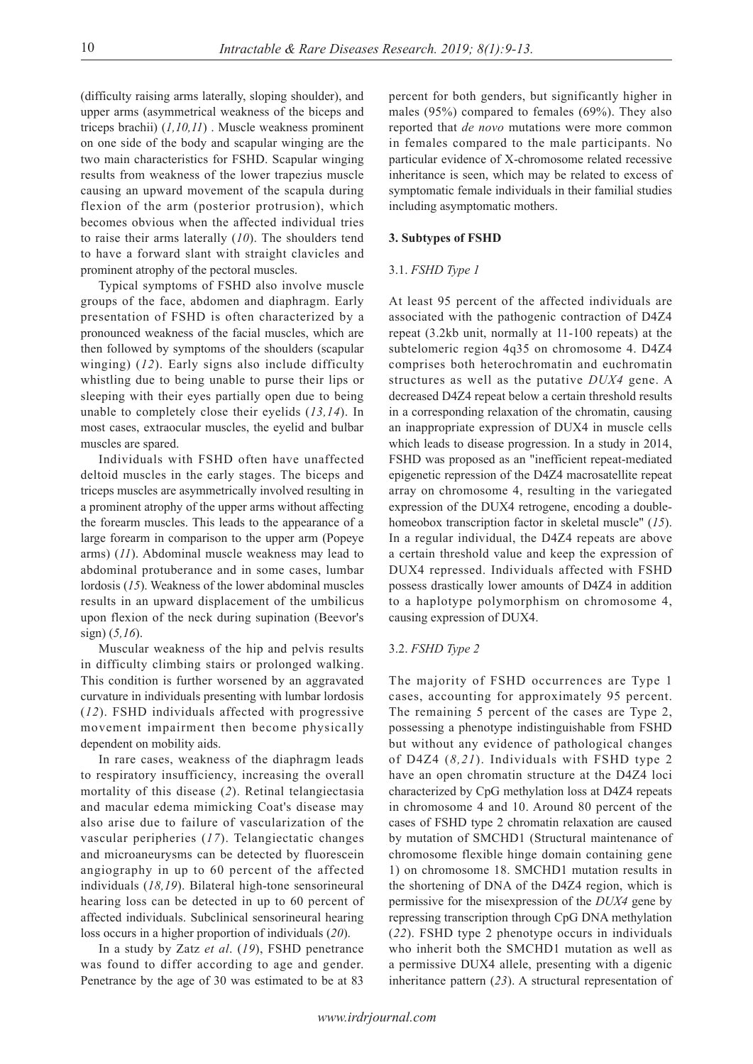(difficulty raising arms laterally, sloping shoulder), and upper arms (asymmetrical weakness of the biceps and triceps brachii) (*1,10,11*) . Muscle weakness prominent on one side of the body and scapular winging are the two main characteristics for FSHD. Scapular winging results from weakness of the lower trapezius muscle causing an upward movement of the scapula during flexion of the arm (posterior protrusion), which becomes obvious when the affected individual tries to raise their arms laterally (*10*). The shoulders tend to have a forward slant with straight clavicles and prominent atrophy of the pectoral muscles.

Typical symptoms of FSHD also involve muscle groups of the face, abdomen and diaphragm. Early presentation of FSHD is often characterized by a pronounced weakness of the facial muscles, which are then followed by symptoms of the shoulders (scapular winging) (*12*). Early signs also include difficulty whistling due to being unable to purse their lips or sleeping with their eyes partially open due to being unable to completely close their eyelids (*13,14*). In most cases, extraocular muscles, the eyelid and bulbar muscles are spared.

Individuals with FSHD often have unaffected deltoid muscles in the early stages. The biceps and triceps muscles are asymmetrically involved resulting in a prominent atrophy of the upper arms without affecting the forearm muscles. This leads to the appearance of a large forearm in comparison to the upper arm (Popeye arms) (*11*). Abdominal muscle weakness may lead to abdominal protuberance and in some cases, lumbar lordosis (*15*). Weakness of the lower abdominal muscles results in an upward displacement of the umbilicus upon flexion of the neck during supination (Beevor's sign) (*5,16*).

Muscular weakness of the hip and pelvis results in difficulty climbing stairs or prolonged walking. This condition is further worsened by an aggravated curvature in individuals presenting with lumbar lordosis (*12*). FSHD individuals affected with progressive movement impairment then become physically dependent on mobility aids.

In rare cases, weakness of the diaphragm leads to respiratory insufficiency, increasing the overall mortality of this disease (*2*). Retinal telangiectasia and macular edema mimicking Coat's disease may also arise due to failure of vascularization of the vascular peripheries (*17*). Telangiectatic changes and microaneurysms can be detected by fluorescein angiography in up to 60 percent of the affected individuals (*18,19*). Bilateral high-tone sensorineural hearing loss can be detected in up to 60 percent of affected individuals. Subclinical sensorineural hearing loss occurs in a higher proportion of individuals (*20*).

In a study by Zatz *et al*. (*19*), FSHD penetrance was found to differ according to age and gender. Penetrance by the age of 30 was estimated to be at 83

percent for both genders, but significantly higher in males (95%) compared to females (69%). They also reported that *de novo* mutations were more common in females compared to the male participants. No particular evidence of X-chromosome related recessive inheritance is seen, which may be related to excess of symptomatic female individuals in their familial studies including asymptomatic mothers.

# **3. Subtypes of FSHD**

# 3.1. *FSHD Type 1*

At least 95 percent of the affected individuals are associated with the pathogenic contraction of D4Z4 repeat (3.2kb unit, normally at 11-100 repeats) at the subtelomeric region 4q35 on chromosome 4. D4Z4 comprises both heterochromatin and euchromatin structures as well as the putative *DUX4* gene. A decreased D4Z4 repeat below a certain threshold results in a corresponding relaxation of the chromatin, causing an inappropriate expression of DUX4 in muscle cells which leads to disease progression. In a study in 2014, FSHD was proposed as an "inefficient repeat-mediated epigenetic repression of the D4Z4 macrosatellite repeat array on chromosome 4, resulting in the variegated expression of the DUX4 retrogene, encoding a doublehomeobox transcription factor in skeletal muscle" (*15*). In a regular individual, the D4Z4 repeats are above a certain threshold value and keep the expression of DUX4 repressed. Individuals affected with FSHD possess drastically lower amounts of D4Z4 in addition to a haplotype polymorphism on chromosome 4, causing expression of DUX4.

## 3.2. *FSHD Type 2*

The majority of FSHD occurrences are Type 1 cases, accounting for approximately 95 percent. The remaining 5 percent of the cases are Type 2, possessing a phenotype indistinguishable from FSHD but without any evidence of pathological changes of D4Z4 (*8,21*). Individuals with FSHD type 2 have an open chromatin structure at the D4Z4 loci characterized by CpG methylation loss at D4Z4 repeats in chromosome 4 and 10. Around 80 percent of the cases of FSHD type 2 chromatin relaxation are caused by mutation of SMCHD1 (Structural maintenance of chromosome flexible hinge domain containing gene 1) on chromosome 18. SMCHD1 mutation results in the shortening of DNA of the D4Z4 region, which is permissive for the misexpression of the *DUX4* gene by repressing transcription through CpG DNA methylation (*22*). FSHD type 2 phenotype occurs in individuals who inherit both the SMCHD1 mutation as well as a permissive DUX4 allele, presenting with a digenic inheritance pattern (*23*). A structural representation of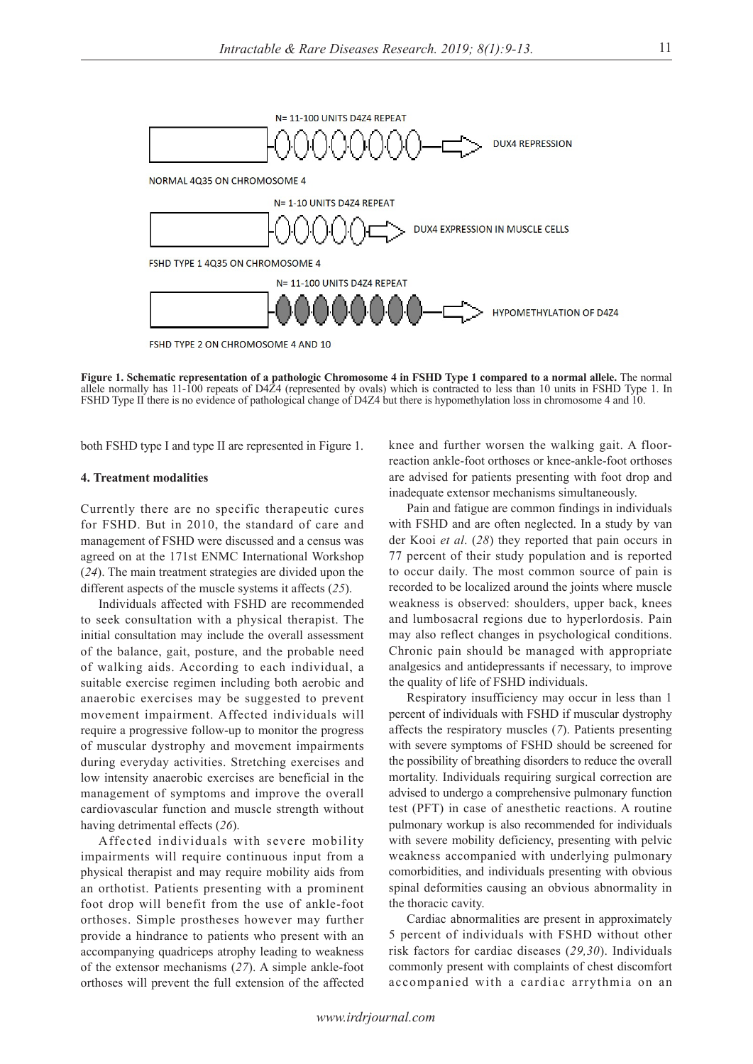

**Figure 1. Schematic representation of a pathologic Chromosome 4 in FSHD Type 1 compared to a normal allele.** The normal allele normally has 11-100 repeats of D4Z4 (represented by ovals) which is contracted to less than 10 units in FSHD Type 1. In FSHD Type II there is no evidence of pathological change of D4Z4 but there is hypomethylation loss in chromosome 4 and 10.

both FSHD type I and type II are represented in Figure 1.

### **4. Treatment modalities**

Currently there are no specific therapeutic cures for FSHD. But in 2010, the standard of care and management of FSHD were discussed and a census was agreed on at the 171st ENMC International Workshop (*24*). The main treatment strategies are divided upon the different aspects of the muscle systems it affects (*25*).

Individuals affected with FSHD are recommended to seek consultation with a physical therapist. The initial consultation may include the overall assessment of the balance, gait, posture, and the probable need of walking aids. According to each individual, a suitable exercise regimen including both aerobic and anaerobic exercises may be suggested to prevent movement impairment. Affected individuals will require a progressive follow-up to monitor the progress of muscular dystrophy and movement impairments during everyday activities. Stretching exercises and low intensity anaerobic exercises are beneficial in the management of symptoms and improve the overall cardiovascular function and muscle strength without having detrimental effects (*26*).

Affected individuals with severe mobility impairments will require continuous input from a physical therapist and may require mobility aids from an orthotist. Patients presenting with a prominent foot drop will benefit from the use of ankle-foot orthoses. Simple prostheses however may further provide a hindrance to patients who present with an accompanying quadriceps atrophy leading to weakness of the extensor mechanisms (*27*). A simple ankle-foot orthoses will prevent the full extension of the affected

knee and further worsen the walking gait. A floorreaction ankle-foot orthoses or knee-ankle-foot orthoses are advised for patients presenting with foot drop and inadequate extensor mechanisms simultaneously.

Pain and fatigue are common findings in individuals with FSHD and are often neglected. In a study by van der Kooi *et al*. (*28*) they reported that pain occurs in 77 percent of their study population and is reported to occur daily. The most common source of pain is recorded to be localized around the joints where muscle weakness is observed: shoulders, upper back, knees and lumbosacral regions due to hyperlordosis. Pain may also reflect changes in psychological conditions. Chronic pain should be managed with appropriate analgesics and antidepressants if necessary, to improve the quality of life of FSHD individuals.

Respiratory insufficiency may occur in less than 1 percent of individuals with FSHD if muscular dystrophy affects the respiratory muscles (*7*). Patients presenting with severe symptoms of FSHD should be screened for the possibility of breathing disorders to reduce the overall mortality. Individuals requiring surgical correction are advised to undergo a comprehensive pulmonary function test (PFT) in case of anesthetic reactions. A routine pulmonary workup is also recommended for individuals with severe mobility deficiency, presenting with pelvic weakness accompanied with underlying pulmonary comorbidities, and individuals presenting with obvious spinal deformities causing an obvious abnormality in the thoracic cavity.

Cardiac abnormalities are present in approximately 5 percent of individuals with FSHD without other risk factors for cardiac diseases (*29,30*). Individuals commonly present with complaints of chest discomfort accompanied with a cardiac arrythmia on an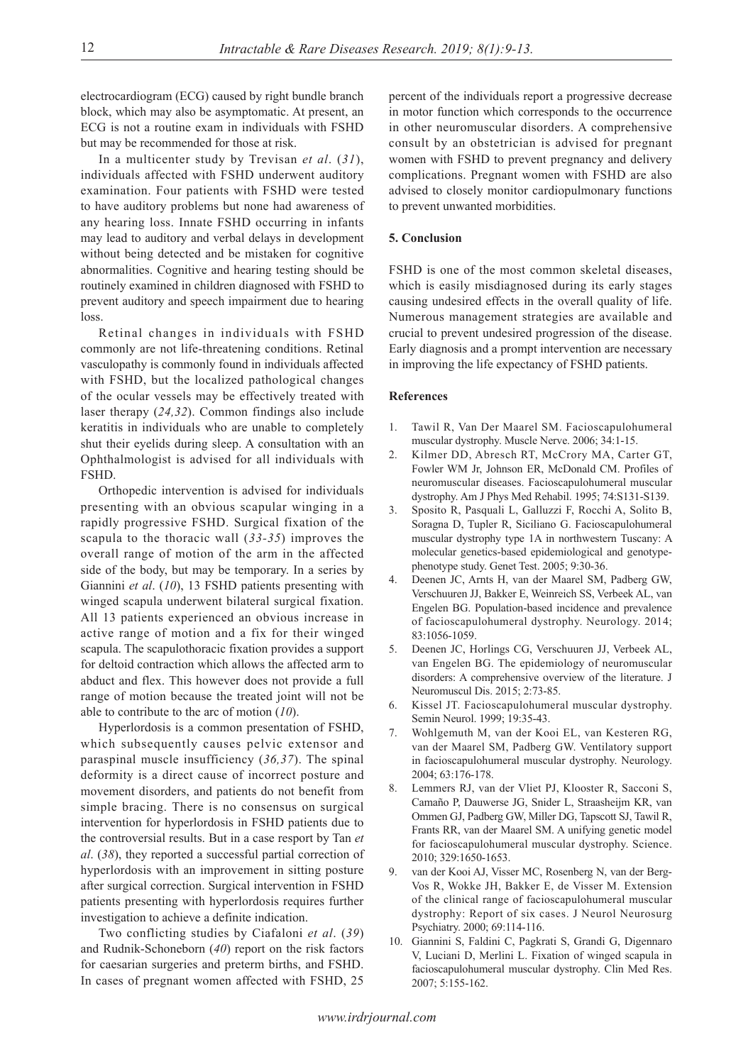electrocardiogram (ECG) caused by right bundle branch block, which may also be asymptomatic. At present, an ECG is not a routine exam in individuals with FSHD but may be recommended for those at risk.

In a multicenter study by Trevisan *et al*. (*31*), individuals affected with FSHD underwent auditory examination. Four patients with FSHD were tested to have auditory problems but none had awareness of any hearing loss. Innate FSHD occurring in infants may lead to auditory and verbal delays in development without being detected and be mistaken for cognitive abnormalities. Cognitive and hearing testing should be routinely examined in children diagnosed with FSHD to prevent auditory and speech impairment due to hearing loss.

Retinal changes in individuals with FSHD commonly are not life-threatening conditions. Retinal vasculopathy is commonly found in individuals affected with FSHD, but the localized pathological changes of the ocular vessels may be effectively treated with laser therapy (*24,32*). Common findings also include keratitis in individuals who are unable to completely shut their eyelids during sleep. A consultation with an Ophthalmologist is advised for all individuals with FSHD.

Orthopedic intervention is advised for individuals presenting with an obvious scapular winging in a rapidly progressive FSHD. Surgical fixation of the scapula to the thoracic wall (*33-35*) improves the overall range of motion of the arm in the affected side of the body, but may be temporary. In a series by Giannini *et al*. (*10*), 13 FSHD patients presenting with winged scapula underwent bilateral surgical fixation. All 13 patients experienced an obvious increase in active range of motion and a fix for their winged scapula. The scapulothoracic fixation provides a support for deltoid contraction which allows the affected arm to abduct and flex. This however does not provide a full range of motion because the treated joint will not be able to contribute to the arc of motion (*10*).

Hyperlordosis is a common presentation of FSHD, which subsequently causes pelvic extensor and paraspinal muscle insufficiency (*36,37*). The spinal deformity is a direct cause of incorrect posture and movement disorders, and patients do not benefit from simple bracing. There is no consensus on surgical intervention for hyperlordosis in FSHD patients due to the controversial results. But in a case resport by Tan *et al*. (*38*), they reported a successful partial correction of hyperlordosis with an improvement in sitting posture after surgical correction. Surgical intervention in FSHD patients presenting with hyperlordosis requires further investigation to achieve a definite indication.

Two conflicting studies by Ciafaloni *et al*. (*39*) and Rudnik-Schoneborn (*40*) report on the risk factors for caesarian surgeries and preterm births, and FSHD. In cases of pregnant women affected with FSHD, 25

percent of the individuals report a progressive decrease in motor function which corresponds to the occurrence in other neuromuscular disorders. A comprehensive consult by an obstetrician is advised for pregnant women with FSHD to prevent pregnancy and delivery complications. Pregnant women with FSHD are also advised to closely monitor cardiopulmonary functions to prevent unwanted morbidities.

# **5. Conclusion**

FSHD is one of the most common skeletal diseases, which is easily misdiagnosed during its early stages causing undesired effects in the overall quality of life. Numerous management strategies are available and crucial to prevent undesired progression of the disease. Early diagnosis and a prompt intervention are necessary in improving the life expectancy of FSHD patients.

#### **References**

- 1. Tawil R, Van Der Maarel SM. Facioscapulohumeral muscular dystrophy. Muscle Nerve. 2006; 34:1-15.
- 2. Kilmer DD, Abresch RT, McCrory MA, Carter GT, Fowler WM Jr, Johnson ER, McDonald CM. Profiles of neuromuscular diseases. Facioscapulohumeral muscular dystrophy. Am J Phys Med Rehabil. 1995; 74:S131-S139.
- 3. Sposito R, Pasquali L, Galluzzi F, Rocchi A, Solito B, Soragna D, Tupler R, Siciliano G. Facioscapulohumeral muscular dystrophy type 1A in northwestern Tuscany: A molecular genetics-based epidemiological and genotypephenotype study. Genet Test. 2005; 9:30-36.
- 4. Deenen JC, Arnts H, van der Maarel SM, Padberg GW, Verschuuren JJ, Bakker E, Weinreich SS, Verbeek AL, van Engelen BG. Population-based incidence and prevalence of facioscapulohumeral dystrophy. Neurology. 2014; 83:1056-1059.
- 5. Deenen JC, Horlings CG, Verschuuren JJ, Verbeek AL, van Engelen BG. The epidemiology of neuromuscular disorders: A comprehensive overview of the literature. J Neuromuscul Dis. 2015; 2:73-85.
- 6. Kissel JT. Facioscapulohumeral muscular dystrophy. Semin Neurol. 1999; 19:35-43.
- 7. Wohlgemuth M, van der Kooi EL, van Kesteren RG, van der Maarel SM, Padberg GW. Ventilatory support in facioscapulohumeral muscular dystrophy. Neurology. 2004; 63:176-178.
- 8. Lemmers RJ, van der Vliet PJ, Klooster R, Sacconi S, Camaño P, Dauwerse JG, Snider L, Straasheijm KR, van Ommen GJ, Padberg GW, Miller DG, Tapscott SJ, Tawil R, Frants RR, van der Maarel SM. A unifying genetic model for facioscapulohumeral muscular dystrophy. Science. 2010; 329:1650-1653.
- van der Kooi AJ, Visser MC, Rosenberg N, van der Berg-Vos R, Wokke JH, Bakker E, de Visser M. Extension of the clinical range of facioscapulohumeral muscular dystrophy: Report of six cases. J Neurol Neurosurg Psychiatry. 2000; 69:114-116.
- 10. Giannini S, Faldini C, Pagkrati S, Grandi G, Digennaro V, Luciani D, Merlini L. Fixation of winged scapula in facioscapulohumeral muscular dystrophy. Clin Med Res. 2007; 5:155-162.